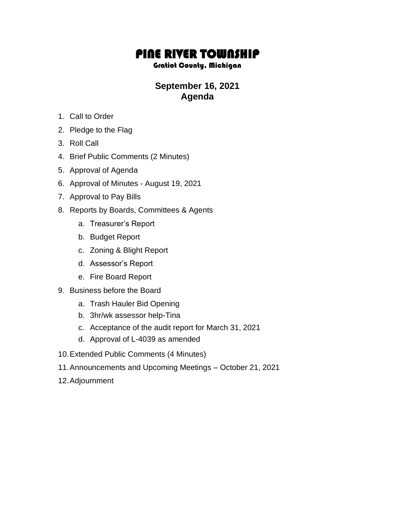## PINE RIVER TOWNSHIP

## Gratiot County, Michigan

## **September 16, 2021 Agenda**

- 1. Call to Order
- 2. Pledge to the Flag
- 3. Roll Call
- 4. Brief Public Comments (2 Minutes)
- 5. Approval of Agenda
- 6. Approval of Minutes August 19, 2021
- 7. Approval to Pay Bills
- 8. Reports by Boards, Committees & Agents
	- a. Treasurer's Report
	- b. Budget Report
	- c. Zoning & Blight Report
	- d. Assessor's Report
	- e. Fire Board Report
- 9. Business before the Board
	- a. Trash Hauler Bid Opening
	- b. 3hr/wk assessor help-Tina
	- c. Acceptance of the audit report for March 31, 2021
	- d. Approval of L-4039 as amended
- 10.Extended Public Comments (4 Minutes)
- 11.Announcements and Upcoming Meetings October 21, 2021
- 12.Adjournment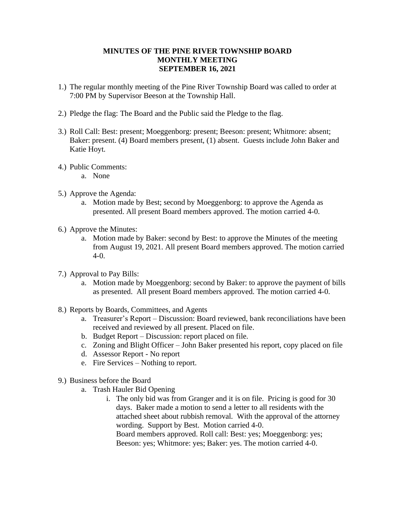## **MINUTES OF THE PINE RIVER TOWNSHIP BOARD MONTHLY MEETING SEPTEMBER 16, 2021**

- 1.) The regular monthly meeting of the Pine River Township Board was called to order at 7:00 PM by Supervisor Beeson at the Township Hall.
- 2.) Pledge the flag: The Board and the Public said the Pledge to the flag.
- 3.) Roll Call: Best: present; Moeggenborg: present; Beeson: present; Whitmore: absent; Baker: present. (4) Board members present, (1) absent. Guests include John Baker and Katie Hoyt.
- 4.) Public Comments:
	- a. None
- 5.) Approve the Agenda:
	- a. Motion made by Best; second by Moeggenborg: to approve the Agenda as presented. All present Board members approved. The motion carried 4-0.
- 6.) Approve the Minutes:
	- a. Motion made by Baker: second by Best: to approve the Minutes of the meeting from August 19, 2021. All present Board members approved. The motion carried  $4-0.$
- 7.) Approval to Pay Bills:
	- a. Motion made by Moeggenborg: second by Baker: to approve the payment of bills as presented. All present Board members approved. The motion carried 4-0.
- 8.) Reports by Boards, Committees, and Agents
	- a. Treasurer's Report Discussion: Board reviewed, bank reconciliations have been received and reviewed by all present. Placed on file.
	- b. Budget Report Discussion: report placed on file.
	- c. Zoning and Blight Officer John Baker presented his report, copy placed on file
	- d. Assessor Report No report
	- e. Fire Services Nothing to report.
- 9.) Business before the Board
	- a. Trash Hauler Bid Opening
		- i. The only bid was from Granger and it is on file. Pricing is good for 30 days. Baker made a motion to send a letter to all residents with the attached sheet about rubbish removal. With the approval of the attorney wording. Support by Best. Motion carried 4-0. Board members approved. Roll call: Best: yes; Moeggenborg: yes; Beeson: yes; Whitmore: yes; Baker: yes. The motion carried 4-0.